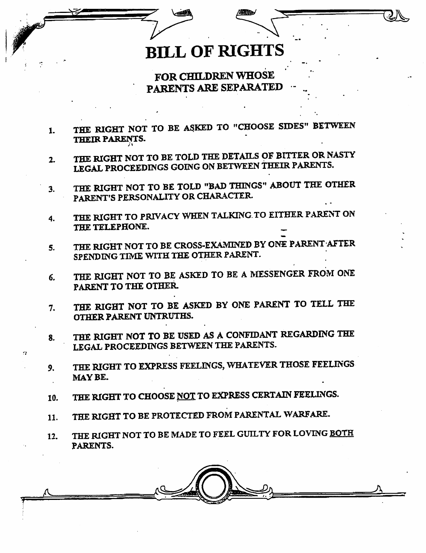## **BILL OF RIGHTS**

FOR CHILDREN WHOSE PARENTS ARE SEPARATED

- THE RIGHT NOT TO BE ASKED TO "CHOOSE SIDES" BETWEEN THEIR PARENTS. 1.
- THE RIGHT NOT TO BE TOLD THE DETAILS OF BITTER OR NASTY LEGAL PROCEEDINGS GOING ON BETWEEN THEIR PARENTS.  $2.$
- THE RIGHT NOT TO BE TOLD "BAD THINGS" ABOUT THE OTHER PARENTIS PERSONALITY OR CHARACTER. 3.
- THE RIGHT TO PRIVACY WHEN TALKING TO EITHER PARENT ON THE TELEPHONE. 4.
- THE RIGHT NOT TO BE CROSS-EXAMINED BY ONE PARENT AFTER SPENDING TIME WITH THE OTHER PARENT.  $5.$
- THE RIGHT NOT TO BE ASKED TO BE A MESSENGER FROM ONE PARENT TO THE OTHER. 6.
- THE RIGHT NOT TO BE ASKED BY ONE PARENT TO TELL THE OTHER PARENT UNTRUTHS. 7.
- THE RIGHT NOT TO BE USED AS A CONFIDANT REGARDING THE LEGAL PROCEEDINGS BETWEEN THE PARENTS. 8.
- THE RIGHT TO EXPRESS FEELINGS, WHATEVER THOSE FEELINGS MAYBE.  $9.$
- THE RIGHT TO CHOOSE NOT TO EXPRESS CERTAIN FEELINGS. 10.
- THE RIGHT TO BE PROTECTED FROM PARENTAL WARFARE. 11.
- THE RIGHT NOT TO BE MADE TO FEEL GUILTY FOR LOVING BOTH PARENTS. 12.